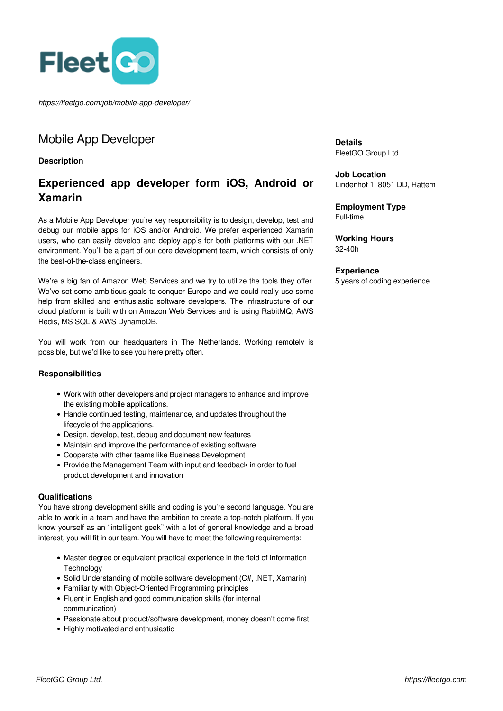

*https://fleetgo.com/job/mobile-app-developer/*

## Mobile App Developer

**Description**

# **Experienced app developer form iOS, Android or Xamarin**

As a Mobile App Developer you're key responsibility is to design, develop, test and debug our mobile apps for iOS and/or Android. We prefer experienced Xamarin users, who can easily develop and deploy app's for both platforms with our .NET environment. You'll be a part of our core development team, which consists of only the best-of-the-class engineers.

We're a big fan of Amazon Web Services and we try to utilize the tools they offer. We've set some ambitious goals to conquer Europe and we could really use some help from skilled and enthusiastic software developers. The infrastructure of our cloud platform is built with on Amazon Web Services and is using RabitMQ, AWS Redis, MS SQL & AWS DynamoDB.

You will work from our headquarters in The Netherlands. Working remotely is possible, but we'd like to see you here pretty often.

#### **Responsibilities**

- Work with other developers and project managers to enhance and improve the existing mobile applications.
- Handle continued testing, maintenance, and updates throughout the lifecycle of the applications.
- Design, develop, test, debug and document new features
- Maintain and improve the performance of existing software
- Cooperate with other teams like Business Development
- Provide the Management Team with input and feedback in order to fuel product development and innovation

#### **Qualifications**

You have strong development skills and coding is you're second language. You are able to work in a team and have the ambition to create a top-notch platform. If you know yourself as an "intelligent geek" with a lot of general knowledge and a broad interest, you will fit in our team. You will have to meet the following requirements:

- Master degree or equivalent practical experience in the field of Information **Technology**
- Solid Understanding of mobile software development (C#, .NET, Xamarin)
- Familiarity with Object-Oriented Programming principles
- Fluent in English and good communication skills (for internal communication)
- Passionate about product/software development, money doesn't come first
- Highly motivated and enthusiastic

**Details** FleetGO Group Ltd.

**Job Location** Lindenhof 1, 8051 DD, Hattem

**Employment Type** Full-time

**Working Hours** 32-40h

#### **Experience**

5 years of coding experience